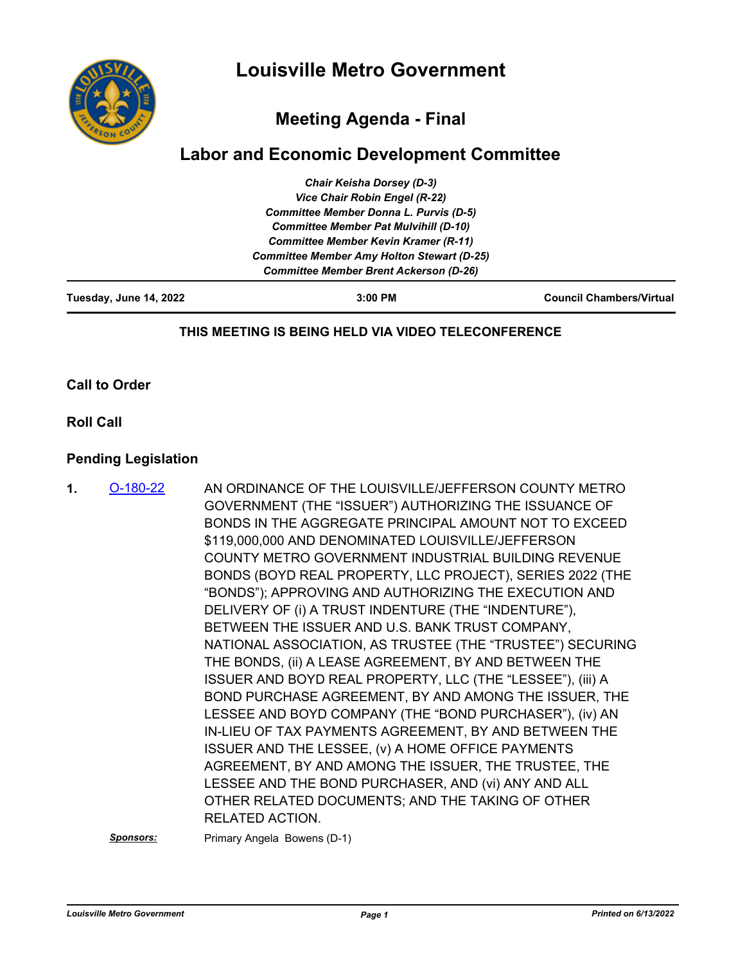

# **Meeting Agenda - Final**

## **Labor and Economic Development Committee**

| Tuesday, June 14, 2022 | $3:00$ PM                                                                                        | <b>Council Chambers/Virtual</b> |  |
|------------------------|--------------------------------------------------------------------------------------------------|---------------------------------|--|
|                        | <b>Committee Member Brent Ackerson (D-26)</b>                                                    |                                 |  |
|                        | <b>Committee Member Kevin Kramer (R-11)</b><br><b>Committee Member Amy Holton Stewart (D-25)</b> |                                 |  |
|                        |                                                                                                  |                                 |  |
|                        | <b>Committee Member Pat Mulvihill (D-10)</b>                                                     |                                 |  |
|                        | <b>Committee Member Donna L. Purvis (D-5)</b>                                                    |                                 |  |
|                        | Vice Chair Robin Engel (R-22)                                                                    |                                 |  |
|                        | <b>Chair Keisha Dorsey (D-3)</b>                                                                 |                                 |  |

#### **THIS MEETING IS BEING HELD VIA VIDEO TELECONFERENCE**

**Call to Order**

**Roll Call**

#### **Pending Legislation**

AN ORDINANCE OF THE LOUISVILLE/JEFFERSON COUNTY METRO GOVERNMENT (THE "ISSUER") AUTHORIZING THE ISSUANCE OF BONDS IN THE AGGREGATE PRINCIPAL AMOUNT NOT TO EXCEED \$119,000,000 AND DENOMINATED LOUISVILLE/JEFFERSON COUNTY METRO GOVERNMENT INDUSTRIAL BUILDING REVENUE BONDS (BOYD REAL PROPERTY, LLC PROJECT), SERIES 2022 (THE "BONDS"); APPROVING AND AUTHORIZING THE EXECUTION AND DELIVERY OF (i) A TRUST INDENTURE (THE "INDENTURE"), BETWEEN THE ISSUER AND U.S. BANK TRUST COMPANY, NATIONAL ASSOCIATION, AS TRUSTEE (THE "TRUSTEE") SECURING THE BONDS, (ii) A LEASE AGREEMENT, BY AND BETWEEN THE ISSUER AND BOYD REAL PROPERTY, LLC (THE "LESSEE"), (iii) A BOND PURCHASE AGREEMENT, BY AND AMONG THE ISSUER, THE LESSEE AND BOYD COMPANY (THE "BOND PURCHASER"), (iv) AN IN-LIEU OF TAX PAYMENTS AGREEMENT, BY AND BETWEEN THE ISSUER AND THE LESSEE, (v) A HOME OFFICE PAYMENTS AGREEMENT, BY AND AMONG THE ISSUER, THE TRUSTEE, THE LESSEE AND THE BOND PURCHASER, AND (vi) ANY AND ALL OTHER RELATED DOCUMENTS; AND THE TAKING OF OTHER RELATED ACTION. **1.** [O-180-22](http://louisville.legistar.com/gateway.aspx?m=l&id=/matter.aspx?key=60342)

**Sponsors:** Primary Angela Bowens (D-1)